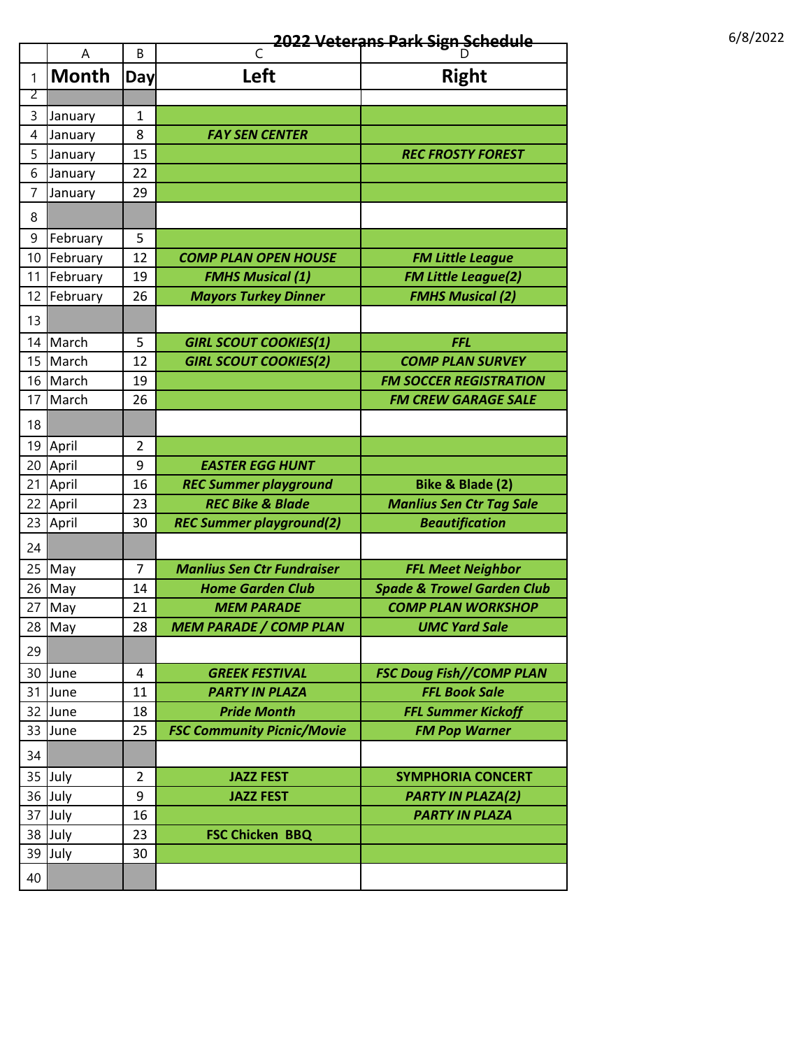## **2022 Veterans Park Sign Schedule** 11 12022 6/8/2022

|                | Α            | B              | C                                 | D                                     |
|----------------|--------------|----------------|-----------------------------------|---------------------------------------|
| 1              | <b>Month</b> | Day            | Left                              | <b>Right</b>                          |
| $\overline{2}$ |              |                |                                   |                                       |
| 3              | January      | 1              |                                   |                                       |
| $\overline{4}$ | January      | 8              | <b>FAY SEN CENTER</b>             |                                       |
| 5              | January      | 15             |                                   | <b>REC FROSTY FOREST</b>              |
| 6              | January      | 22             |                                   |                                       |
| 7              | January      | 29             |                                   |                                       |
| 8              |              |                |                                   |                                       |
| 9              | February     | 5              |                                   |                                       |
| 10             | February     | 12             | <b>COMP PLAN OPEN HOUSE</b>       | <b>FM Little League</b>               |
| 11             | February     | 19             | <b>FMHS Musical (1)</b>           | <b>FM Little League(2)</b>            |
| 12             | February     | 26             | <b>Mayors Turkey Dinner</b>       | <b>FMHS Musical (2)</b>               |
| 13             |              |                |                                   |                                       |
| 14             | March        | 5              | <b>GIRL SCOUT COOKIES(1)</b>      | <b>FFL</b>                            |
| 15             | March        | 12             | <b>GIRL SCOUT COOKIES(2)</b>      | <b>COMP PLAN SURVEY</b>               |
| 16             | March        | 19             |                                   | <b>FM SOCCER REGISTRATION</b>         |
| 17             | March        | 26             |                                   | <b>FM CREW GARAGE SALE</b>            |
| 18             |              |                |                                   |                                       |
| 19             | April        | 2              |                                   |                                       |
| 20             | April        | 9              | <b>EASTER EGG HUNT</b>            |                                       |
| 21             | April        | 16             | <b>REC Summer playground</b>      | Bike & Blade (2)                      |
| 22             | April        | 23             | <b>REC Bike &amp; Blade</b>       | <b>Manlius Sen Ctr Tag Sale</b>       |
| 23             | April        | 30             | <b>REC Summer playground(2)</b>   | <b>Beautification</b>                 |
| 24             |              |                |                                   |                                       |
| 25             | May          | 7              | <b>Manlius Sen Ctr Fundraiser</b> | <b>FFL Meet Neighbor</b>              |
| 26             | May          | 14             | <b>Home Garden Club</b>           | <b>Spade &amp; Trowel Garden Club</b> |
| 27             | May          | 21             | <b>MEM PARADE</b>                 | <b>COMP PLAN WORKSHOP</b>             |
| 28             | May          | 28             | <b>MEM PARADE / COMP PLAN</b>     | <b>UMC Yard Sale</b>                  |
| 29             |              |                |                                   |                                       |
| 30             | June         | 4              | <b>GREEK FESTIVAL</b>             | <b>FSC Doug Fish//COMP PLAN</b>       |
| 31             | June         | 11             | <b>PARTY IN PLAZA</b>             | <b>FFL Book Sale</b>                  |
| 32             | June         | 18             | <b>Pride Month</b>                | <b>FFL Summer Kickoff</b>             |
| 33             | June         | 25             | <b>FSC Community Picnic/Movie</b> | <b>FM Pop Warner</b>                  |
| 34             |              |                |                                   |                                       |
| 35             | July         | $\overline{2}$ | <b>JAZZ FEST</b>                  | <b>SYMPHORIA CONCERT</b>              |
| 36             | July         | 9              | <b>JAZZ FEST</b>                  | <b>PARTY IN PLAZA(2)</b>              |
| 37             | July         | 16             |                                   | <b>PARTY IN PLAZA</b>                 |
| 38             | July         | 23             | <b>FSC Chicken BBQ</b>            |                                       |
| 39             | July         | 30             |                                   |                                       |
|                |              |                |                                   |                                       |
| 40             |              |                |                                   |                                       |